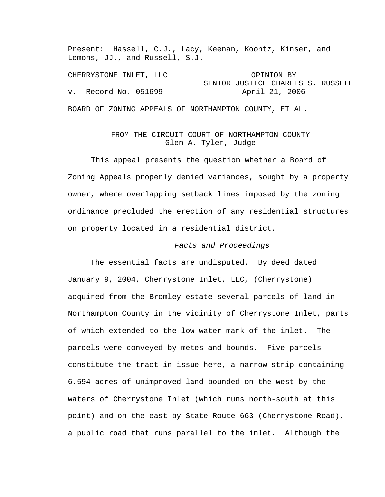Present: Hassell, C.J., Lacy, Keenan, Koontz, Kinser, and Lemons, JJ., and Russell, S.J.

CHERRYSTONE INLET, LLC OPINION BY SENIOR JUSTICE CHARLES S. RUSSELL v. Record No. 051699 April 21, 2006 BOARD OF ZONING APPEALS OF NORTHAMPTON COUNTY, ET AL.

## FROM THE CIRCUIT COURT OF NORTHAMPTON COUNTY Glen A. Tyler, Judge

This appeal presents the question whether a Board of Zoning Appeals properly denied variances, sought by a property owner, where overlapping setback lines imposed by the zoning ordinance precluded the erection of any residential structures on property located in a residential district.

## *Facts and Proceedings*

 The essential facts are undisputed. By deed dated January 9, 2004, Cherrystone Inlet, LLC, (Cherrystone) acquired from the Bromley estate several parcels of land in Northampton County in the vicinity of Cherrystone Inlet, parts of which extended to the low water mark of the inlet. The parcels were conveyed by metes and bounds. Five parcels constitute the tract in issue here, a narrow strip containing 6.594 acres of unimproved land bounded on the west by the waters of Cherrystone Inlet (which runs north-south at this point) and on the east by State Route 663 (Cherrystone Road), a public road that runs parallel to the inlet. Although the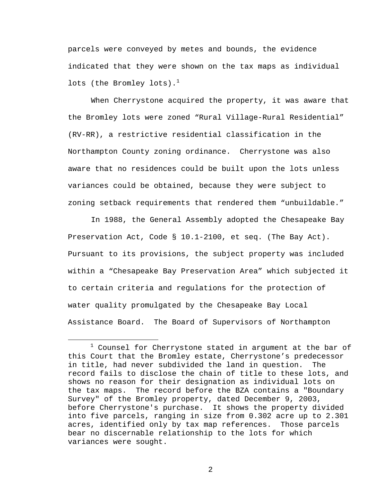parcels were conveyed by metes and bounds, the evidence indicated that they were shown on the tax maps as individual lots (the Bromley lots). $^1$ 

When Cherrystone acquired the property, it was aware that the Bromley lots were zoned "Rural Village-Rural Residential" (RV-RR), a restrictive residential classification in the Northampton County zoning ordinance. Cherrystone was also aware that no residences could be built upon the lots unless variances could be obtained, because they were subject to zoning setback requirements that rendered them "unbuildable."

In 1988, the General Assembly adopted the Chesapeake Bay Preservation Act, Code § 10.1-2100, et seq. (The Bay Act). Pursuant to its provisions, the subject property was included within a "Chesapeake Bay Preservation Area" which subjected it to certain criteria and regulations for the protection of water quality promulgated by the Chesapeake Bay Local Assistance Board. The Board of Supervisors of Northampton

 $\overline{\phantom{a}}$  $1$  Counsel for Cherrystone stated in argument at the bar of this Court that the Bromley estate, Cherrystone's predecessor in title, had never subdivided the land in question. The record fails to disclose the chain of title to these lots, and shows no reason for their designation as individual lots on the tax maps. The record before the BZA contains a "Boundary Survey" of the Bromley property, dated December 9, 2003, before Cherrystone's purchase. It shows the property divided into five parcels, ranging in size from 0.302 acre up to 2.301 acres, identified only by tax map references. Those parcels bear no discernable relationship to the lots for which variances were sought.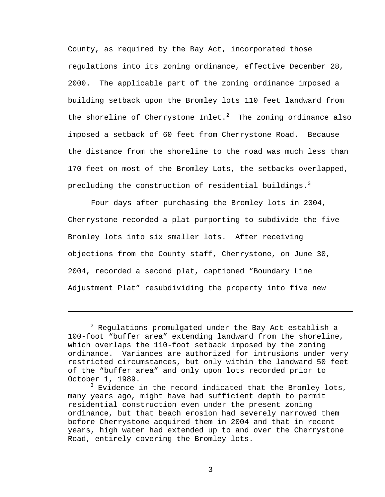County, as required by the Bay Act, incorporated those regulations into its zoning ordinance, effective December 28, 2000. The applicable part of the zoning ordinance imposed a building setback upon the Bromley lots 110 feet landward from the shoreline of Cherrystone Inlet. $^2$  The zoning ordinance also imposed a setback of 60 feet from Cherrystone Road. Because the distance from the shoreline to the road was much less than 170 feet on most of the Bromley Lots, the setbacks overlapped, precluding the construction of residential buildings.<sup>3</sup>

Four days after purchasing the Bromley lots in 2004, Cherrystone recorded a plat purporting to subdivide the five Bromley lots into six smaller lots. After receiving objections from the County staff, Cherrystone, on June 30, 2004, recorded a second plat, captioned "Boundary Line Adjustment Plat" resubdividing the property into five new

 $\overline{\phantom{0}}$ 

 $^{\rm 2}$  Regulations promulgated under the Bay Act establish a 100-foot "buffer area" extending landward from the shoreline, which overlaps the 110-foot setback imposed by the zoning ordinance. Variances are authorized for intrusions under very restricted circumstances, but only within the landward 50 feet of the "buffer area" and only upon lots recorded prior to October 1, 1989.

<sup>&</sup>lt;sup>3</sup> Evidence in the record indicated that the Bromley lots, many years ago, might have had sufficient depth to permit residential construction even under the present zoning ordinance, but that beach erosion had severely narrowed them before Cherrystone acquired them in 2004 and that in recent years, high water had extended up to and over the Cherrystone Road, entirely covering the Bromley lots.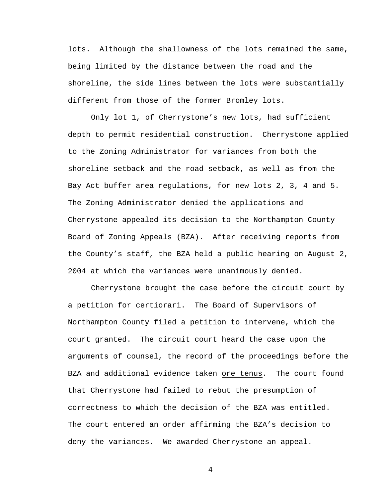lots. Although the shallowness of the lots remained the same, being limited by the distance between the road and the shoreline, the side lines between the lots were substantially different from those of the former Bromley lots.

Only lot 1, of Cherrystone's new lots, had sufficient depth to permit residential construction. Cherrystone applied to the Zoning Administrator for variances from both the shoreline setback and the road setback, as well as from the Bay Act buffer area regulations, for new lots 2, 3, 4 and 5. The Zoning Administrator denied the applications and Cherrystone appealed its decision to the Northampton County Board of Zoning Appeals (BZA). After receiving reports from the County's staff, the BZA held a public hearing on August 2, 2004 at which the variances were unanimously denied.

Cherrystone brought the case before the circuit court by a petition for certiorari. The Board of Supervisors of Northampton County filed a petition to intervene, which the court granted. The circuit court heard the case upon the arguments of counsel, the record of the proceedings before the BZA and additional evidence taken ore tenus. The court found that Cherrystone had failed to rebut the presumption of correctness to which the decision of the BZA was entitled. The court entered an order affirming the BZA's decision to deny the variances. We awarded Cherrystone an appeal.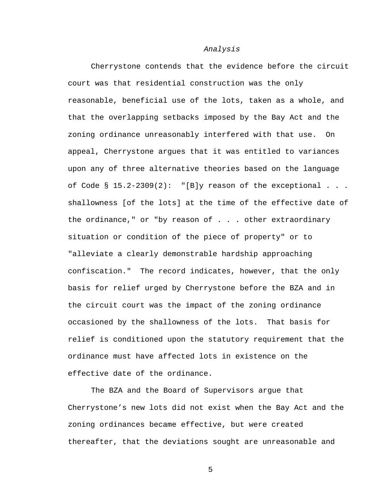## *Analysis*

Cherrystone contends that the evidence before the circuit court was that residential construction was the only reasonable, beneficial use of the lots, taken as a whole, and that the overlapping setbacks imposed by the Bay Act and the zoning ordinance unreasonably interfered with that use. On appeal, Cherrystone argues that it was entitled to variances upon any of three alternative theories based on the language of Code §  $15.2-2309(2)$ : "[B]y reason of the exceptional . . . shallowness [of the lots] at the time of the effective date of the ordinance," or "by reason of . . . other extraordinary situation or condition of the piece of property" or to "alleviate a clearly demonstrable hardship approaching confiscation." The record indicates, however, that the only basis for relief urged by Cherrystone before the BZA and in the circuit court was the impact of the zoning ordinance occasioned by the shallowness of the lots. That basis for relief is conditioned upon the statutory requirement that the ordinance must have affected lots in existence on the effective date of the ordinance.

The BZA and the Board of Supervisors argue that Cherrystone's new lots did not exist when the Bay Act and the zoning ordinances became effective, but were created thereafter, that the deviations sought are unreasonable and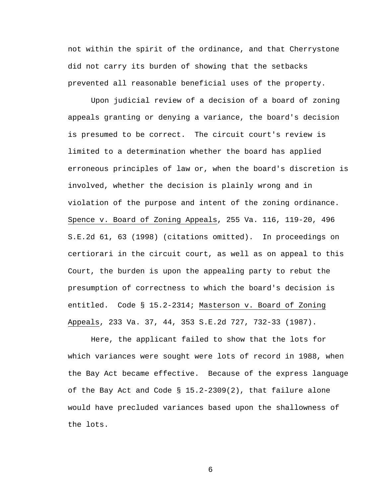not within the spirit of the ordinance, and that Cherrystone did not carry its burden of showing that the setbacks prevented all reasonable beneficial uses of the property.

Upon judicial review of a decision of a board of zoning appeals granting or denying a variance, the board's decision is presumed to be correct. The circuit court's review is limited to a determination whether the board has applied erroneous principles of law or, when the board's discretion is involved, whether the decision is plainly wrong and in violation of the purpose and intent of the zoning ordinance. Spence v. Board of Zoning Appeals, 255 Va. 116, 119-20, 496 S.E.2d 61, 63 (1998) (citations omitted). In proceedings on certiorari in the circuit court, as well as on appeal to this Court, the burden is upon the appealing party to rebut the presumption of correctness to which the board's decision is entitled. Code § 15.2-2314; Masterson v. Board of Zoning Appeals, 233 Va. 37, 44, 353 S.E.2d 727, 732-33 (1987).

Here, the applicant failed to show that the lots for which variances were sought were lots of record in 1988, when the Bay Act became effective. Because of the express language of the Bay Act and Code  $\S$  15.2-2309(2), that failure alone would have precluded variances based upon the shallowness of the lots.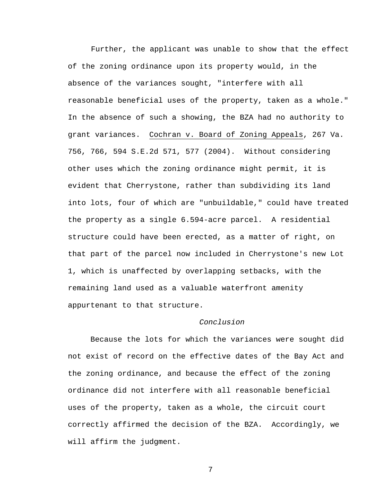Further, the applicant was unable to show that the effect of the zoning ordinance upon its property would, in the absence of the variances sought, "interfere with all reasonable beneficial uses of the property, taken as a whole." In the absence of such a showing, the BZA had no authority to grant variances. Cochran v. Board of Zoning Appeals, 267 Va. 756, 766, 594 S.E.2d 571, 577 (2004). Without considering other uses which the zoning ordinance might permit, it is evident that Cherrystone, rather than subdividing its land into lots, four of which are "unbuildable," could have treated the property as a single 6.594-acre parcel. A residential structure could have been erected, as a matter of right, on that part of the parcel now included in Cherrystone's new Lot 1, which is unaffected by overlapping setbacks, with the remaining land used as a valuable waterfront amenity appurtenant to that structure.

## *Conclusion*

 Because the lots for which the variances were sought did not exist of record on the effective dates of the Bay Act and the zoning ordinance, and because the effect of the zoning ordinance did not interfere with all reasonable beneficial uses of the property, taken as a whole, the circuit court correctly affirmed the decision of the BZA. Accordingly, we will affirm the judgment.